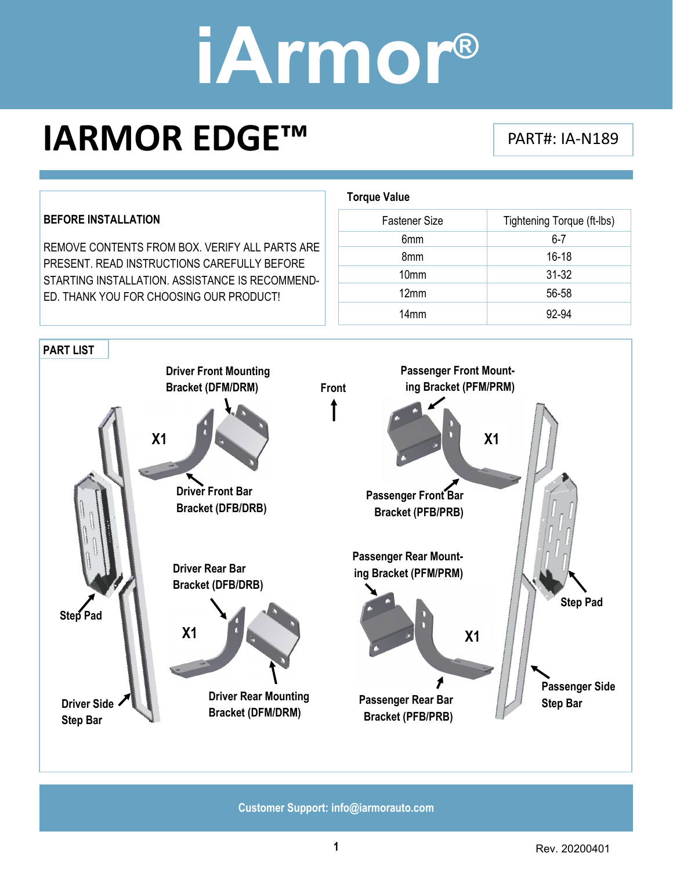### **IARMOR EDGE™** PART#: IA-N189



**Customer Support: info@iarmorauto.com**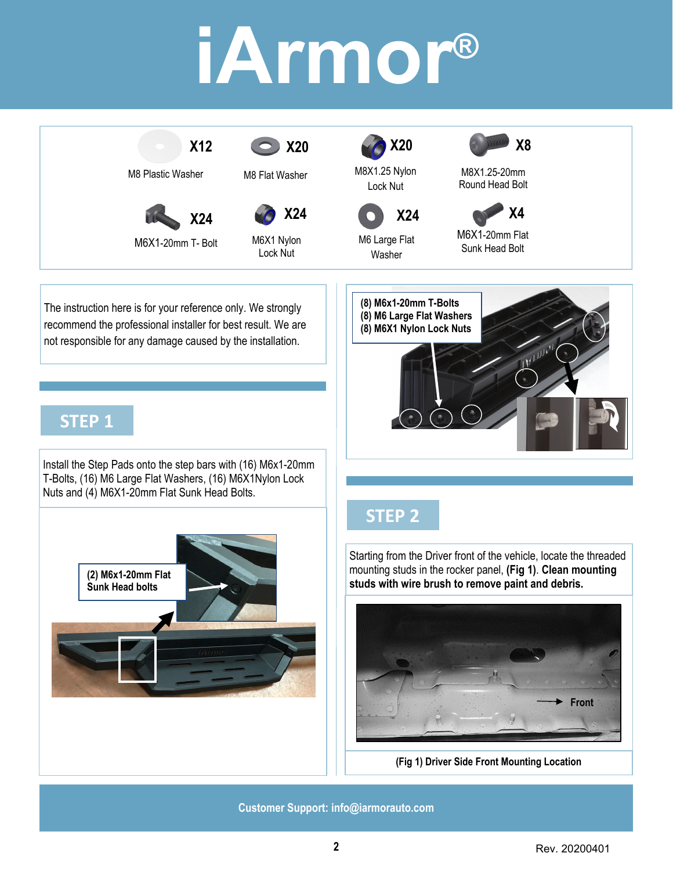

The instruction here is for your reference only. We strongly recommend the professional installer for best result. We are not responsible for any damage caused by the installation.

### **STEP 1**

Install the Step Pads onto the step bars with (16) M6x1-20mm T-Bolts, (16) M6 Large Flat Washers, (16) M6X1Nylon Lock Nuts and (4) M6X1-20mm Flat Sunk Head Bolts.



### **STEP 2**

**(8) M6x1-20mm T-Bolts (8) M6 Large Flat Washers (8) M6X1 Nylon Lock Nuts** 

Starting from the Driver front of the vehicle, locate the threaded mounting studs in the rocker panel, **(Fig 1)**. **Clean mounting studs with wire brush to remove paint and debris.** 



**(Fig 1) Driver Side Front Mounting Location** 

**Customer Support: info@iarmorauto.com**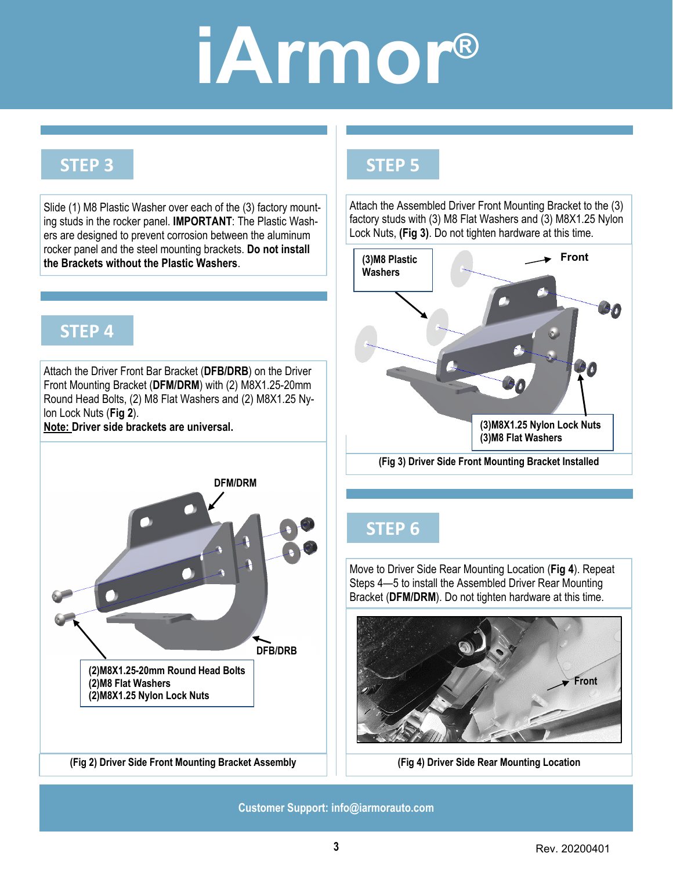#### **STEP 3**

Slide (1) M8 Plastic Washer over each of the (3) factory mounting studs in the rocker panel. **IMPORTANT**: The Plastic Washers are designed to prevent corrosion between the aluminum rocker panel and the steel mounting brackets. **Do not install the Brackets without the Plastic Washers**.

#### **STEP 4**

Attach the Driver Front Bar Bracket (**DFB/DRB**) on the Driver Front Mounting Bracket (**DFM/DRM**) with (2) M8X1.25-20mm Round Head Bolts, (2) M8 Flat Washers and (2) M8X1.25 Nylon Lock Nuts (**Fig 2**).

**(2)M8X1.25-20mm Round Head Bolts** 

**(2)M8 Flat Washers** 

**(2)M8X1.25 Nylon Lock Nuts** 

**Note: Driver side brackets are universal.** 



Attach the Assembled Driver Front Mounting Bracket to the (3) factory studs with (3) M8 Flat Washers and (3) M8X1.25 Nylon Lock Nuts, **(Fig 3)**. Do not tighten hardware at this time.



**(Fig 3) Driver Side Front Mounting Bracket Installed** 

### **STEP 6**

Move to Driver Side Rear Mounting Location (**Fig 4**). Repeat Steps 4—5 to install the Assembled Driver Rear Mounting Bracket (**DFM/DRM**). Do not tighten hardware at this time.



**(Fig 2) Driver Side Front Mounting Bracket Assembly (Fig 4) Driver Side Rear Mounting Location** 

**Customer Support: info@iarmorauto.com** 

**DFB/DRB** 

**DFM/DRM** 

**3** Rev. 20200401